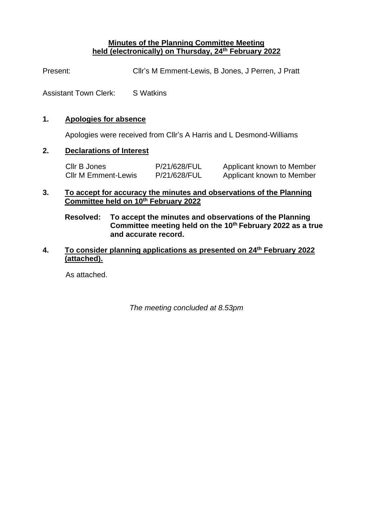#### **Minutes of the Planning Committee Meeting held (electronically) on Thursday, 24th February 2022**

Present: Cllr's M Emment-Lewis, B Jones, J Perren, J Pratt

Assistant Town Clerk: S Watkins

## **1. Apologies for absence**

Apologies were received from Cllr's A Harris and L Desmond-Williams

# **2. Declarations of Interest**

Cllr B Jones **P/21/628/FUL** Applicant known to Member Cllr M Emment-Lewis P/21/628/FUL Applicant known to Member

## **3. To accept for accuracy the minutes and observations of the Planning Committee held on 10th February 2022**

**Resolved: To accept the minutes and observations of the Planning Committee meeting held on the 10th February 2022 as a true and accurate record.**

# **4. To consider planning applications as presented on 24th February 2022 (attached).**

As attached.

*The meeting concluded at 8.53pm*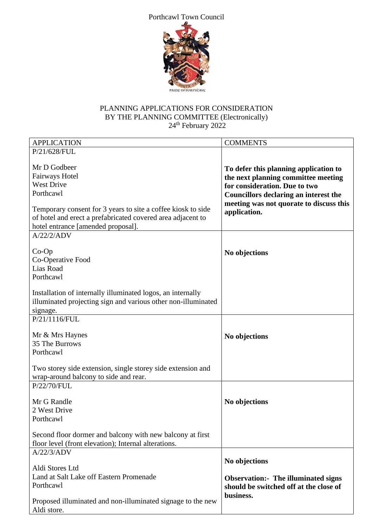#### Porthcawl Town Council



# PLANNING APPLICATIONS FOR CONSIDERATION BY THE PLANNING COMMITTEE (Electronically)  $24<sup>th</sup>$  February 2022

| <b>APPLICATION</b>                                                                                                                                                | <b>COMMENTS</b>                                                                                               |
|-------------------------------------------------------------------------------------------------------------------------------------------------------------------|---------------------------------------------------------------------------------------------------------------|
| P/21/628/FUL                                                                                                                                                      |                                                                                                               |
| Mr D Godbeer<br>Fairways Hotel<br><b>West Drive</b>                                                                                                               | To defer this planning application to<br>the next planning committee meeting<br>for consideration. Due to two |
| Porthcawl                                                                                                                                                         | <b>Councillors declaring an interest the</b>                                                                  |
| Temporary consent for 3 years to site a coffee kiosk to side<br>of hotel and erect a prefabricated covered area adjacent to<br>hotel entrance [amended proposal]. | meeting was not quorate to discuss this<br>application.                                                       |
| A/22/2/ADV                                                                                                                                                        |                                                                                                               |
| $Co-Op$<br>Co-Operative Food<br>Lias Road<br>Porthcawl                                                                                                            | No objections                                                                                                 |
| Installation of internally illuminated logos, an internally<br>illuminated projecting sign and various other non-illuminated<br>signage.                          |                                                                                                               |
| P/21/1116/FUL                                                                                                                                                     |                                                                                                               |
| Mr & Mrs Haynes<br>35 The Burrows<br>Porthcawl<br>Two storey side extension, single storey side extension and                                                     | No objections                                                                                                 |
| wrap-around balcony to side and rear.                                                                                                                             |                                                                                                               |
| P/22/70/FUL                                                                                                                                                       |                                                                                                               |
| Mr G Randle<br>2 West Drive<br>Porthcawl                                                                                                                          | No objections                                                                                                 |
| Second floor dormer and balcony with new balcony at first                                                                                                         |                                                                                                               |
| floor level (front elevation); Internal alterations.                                                                                                              |                                                                                                               |
| A/22/3/ADV                                                                                                                                                        |                                                                                                               |
| Aldi Stores Ltd                                                                                                                                                   | No objections                                                                                                 |
| Land at Salt Lake off Eastern Promenade<br>Porthcawl                                                                                                              | <b>Observation:</b> The illuminated signs<br>should be switched off at the close of                           |
| Proposed illuminated and non-illuminated signage to the new<br>Aldi store.                                                                                        | business.                                                                                                     |